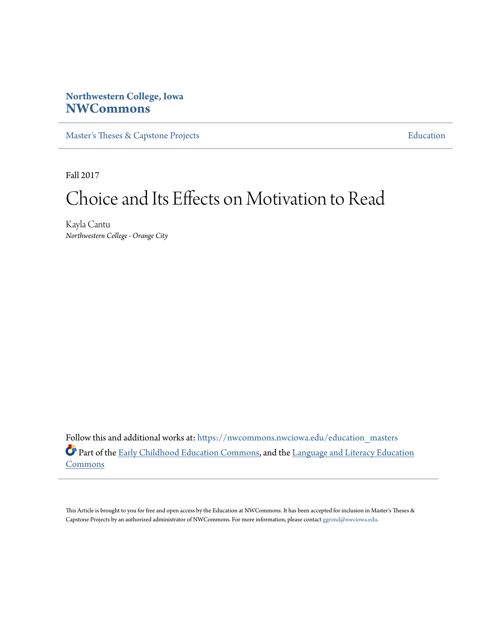# **Northwestern College, Iowa [NWCommons](https://nwcommons.nwciowa.edu?utm_source=nwcommons.nwciowa.edu%2Feducation_masters%2F73&utm_medium=PDF&utm_campaign=PDFCoverPages)**

[Master's Theses & Capstone Projects](https://nwcommons.nwciowa.edu/education_masters?utm_source=nwcommons.nwciowa.edu%2Feducation_masters%2F73&utm_medium=PDF&utm_campaign=PDFCoverPages) **[Education](https://nwcommons.nwciowa.edu/education?utm_source=nwcommons.nwciowa.edu%2Feducation_masters%2F73&utm_medium=PDF&utm_campaign=PDFCoverPages)** 

Fall 2017

# Choice and Its Effects on Motivation to Read

Kayla Cantu *Northwestern College - Orange City*

Follow this and additional works at: [https://nwcommons.nwciowa.edu/education\\_masters](https://nwcommons.nwciowa.edu/education_masters?utm_source=nwcommons.nwciowa.edu%2Feducation_masters%2F73&utm_medium=PDF&utm_campaign=PDFCoverPages) Part of the [Early Childhood Education Commons,](http://network.bepress.com/hgg/discipline/1377?utm_source=nwcommons.nwciowa.edu%2Feducation_masters%2F73&utm_medium=PDF&utm_campaign=PDFCoverPages) and the [Language and Literacy Education](http://network.bepress.com/hgg/discipline/1380?utm_source=nwcommons.nwciowa.edu%2Feducation_masters%2F73&utm_medium=PDF&utm_campaign=PDFCoverPages) **[Commons](http://network.bepress.com/hgg/discipline/1380?utm_source=nwcommons.nwciowa.edu%2Feducation_masters%2F73&utm_medium=PDF&utm_campaign=PDFCoverPages)** 

This Article is brought to you for free and open access by the Education at NWCommons. It has been accepted for inclusion in Master's Theses & Capstone Projects by an authorized administrator of NWCommons. For more information, please contact [ggrond@nwciowa.edu.](mailto:ggrond@nwciowa.edu)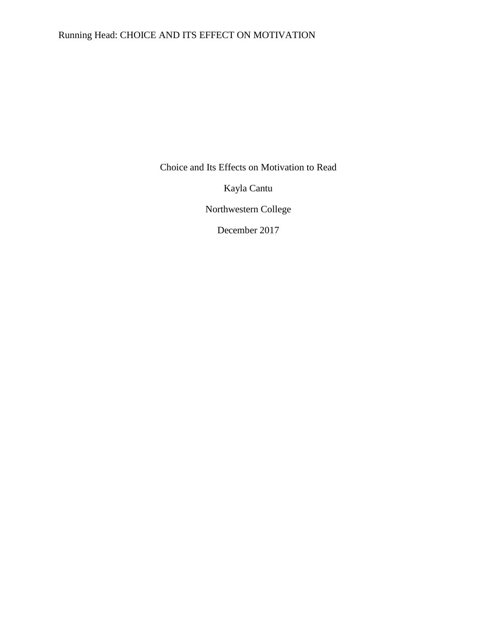# Running Head: CHOICE AND ITS EFFECT ON MOTIVATION

Choice and Its Effects on Motivation to Read

Kayla Cantu

Northwestern College

December 2017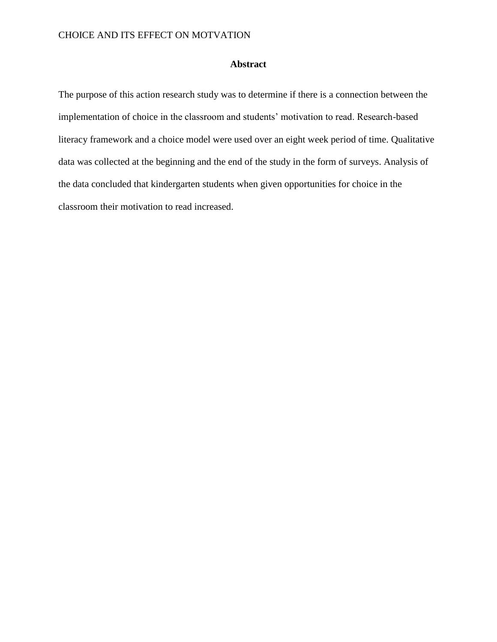## **Abstract**

The purpose of this action research study was to determine if there is a connection between the implementation of choice in the classroom and students' motivation to read. Research-based literacy framework and a choice model were used over an eight week period of time. Qualitative data was collected at the beginning and the end of the study in the form of surveys. Analysis of the data concluded that kindergarten students when given opportunities for choice in the classroom their motivation to read increased.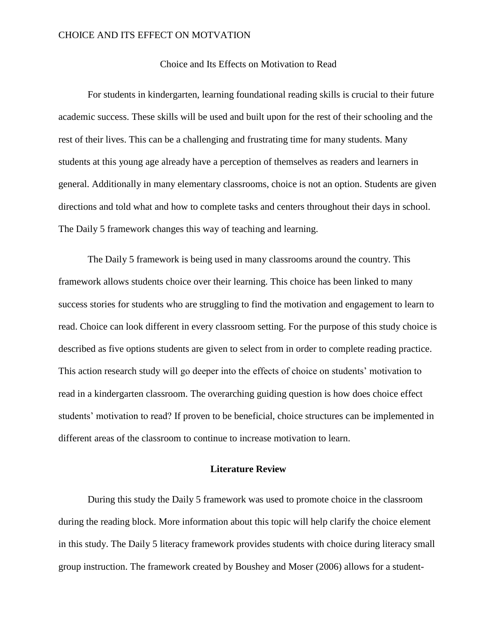### Choice and Its Effects on Motivation to Read

For students in kindergarten, learning foundational reading skills is crucial to their future academic success. These skills will be used and built upon for the rest of their schooling and the rest of their lives. This can be a challenging and frustrating time for many students. Many students at this young age already have a perception of themselves as readers and learners in general. Additionally in many elementary classrooms, choice is not an option. Students are given directions and told what and how to complete tasks and centers throughout their days in school. The Daily 5 framework changes this way of teaching and learning.

The Daily 5 framework is being used in many classrooms around the country. This framework allows students choice over their learning. This choice has been linked to many success stories for students who are struggling to find the motivation and engagement to learn to read. Choice can look different in every classroom setting. For the purpose of this study choice is described as five options students are given to select from in order to complete reading practice. This action research study will go deeper into the effects of choice on students' motivation to read in a kindergarten classroom. The overarching guiding question is how does choice effect students' motivation to read? If proven to be beneficial, choice structures can be implemented in different areas of the classroom to continue to increase motivation to learn.

## **Literature Review**

During this study the Daily 5 framework was used to promote choice in the classroom during the reading block. More information about this topic will help clarify the choice element in this study. The Daily 5 literacy framework provides students with choice during literacy small group instruction. The framework created by Boushey and Moser (2006) allows for a student-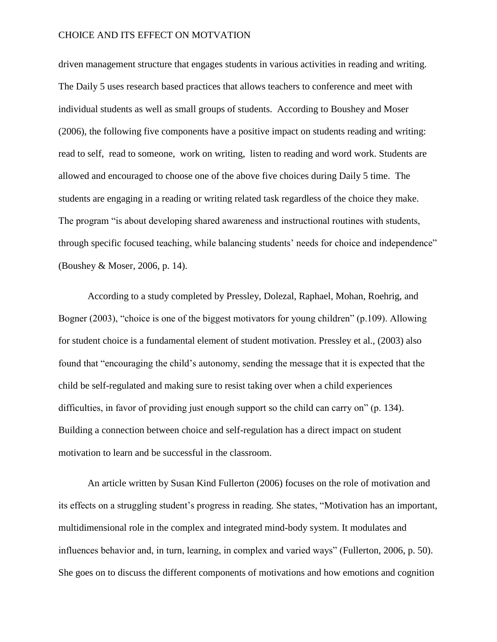driven management structure that engages students in various activities in reading and writing. The Daily 5 uses research based practices that allows teachers to conference and meet with individual students as well as small groups of students. According to Boushey and Moser (2006), the following five components have a positive impact on students reading and writing: read to self, read to someone, work on writing, listen to reading and word work. Students are allowed and encouraged to choose one of the above five choices during Daily 5 time. The students are engaging in a reading or writing related task regardless of the choice they make. The program "is about developing shared awareness and instructional routines with students, through specific focused teaching, while balancing students' needs for choice and independence" (Boushey & Moser, 2006, p. 14).

According to a study completed by Pressley, Dolezal, Raphael, Mohan, Roehrig, and Bogner (2003), "choice is one of the biggest motivators for young children" (p.109). Allowing for student choice is a fundamental element of student motivation. Pressley et al., (2003) also found that "encouraging the child's autonomy, sending the message that it is expected that the child be self-regulated and making sure to resist taking over when a child experiences difficulties, in favor of providing just enough support so the child can carry on" (p. 134). Building a connection between choice and self-regulation has a direct impact on student motivation to learn and be successful in the classroom.

An article written by Susan Kind Fullerton (2006) focuses on the role of motivation and its effects on a struggling student's progress in reading. She states, "Motivation has an important, multidimensional role in the complex and integrated mind-body system. It modulates and influences behavior and, in turn, learning, in complex and varied ways" (Fullerton, 2006, p. 50). She goes on to discuss the different components of motivations and how emotions and cognition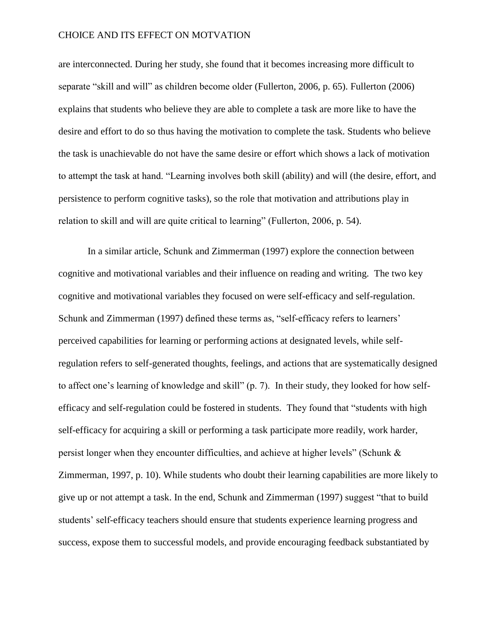are interconnected. During her study, she found that it becomes increasing more difficult to separate "skill and will" as children become older (Fullerton, 2006, p. 65). Fullerton (2006) explains that students who believe they are able to complete a task are more like to have the desire and effort to do so thus having the motivation to complete the task. Students who believe the task is unachievable do not have the same desire or effort which shows a lack of motivation to attempt the task at hand. "Learning involves both skill (ability) and will (the desire, effort, and persistence to perform cognitive tasks), so the role that motivation and attributions play in relation to skill and will are quite critical to learning" (Fullerton, 2006, p. 54).

In a similar article, Schunk and Zimmerman (1997) explore the connection between cognitive and motivational variables and their influence on reading and writing. The two key cognitive and motivational variables they focused on were self-efficacy and self-regulation. Schunk and Zimmerman (1997) defined these terms as, "self-efficacy refers to learners' perceived capabilities for learning or performing actions at designated levels, while selfregulation refers to self-generated thoughts, feelings, and actions that are systematically designed to affect one's learning of knowledge and skill" (p. 7). In their study, they looked for how selfefficacy and self-regulation could be fostered in students. They found that "students with high self-efficacy for acquiring a skill or performing a task participate more readily, work harder, persist longer when they encounter difficulties, and achieve at higher levels" (Schunk & Zimmerman, 1997, p. 10). While students who doubt their learning capabilities are more likely to give up or not attempt a task. In the end, Schunk and Zimmerman (1997) suggest "that to build students' self-efficacy teachers should ensure that students experience learning progress and success, expose them to successful models, and provide encouraging feedback substantiated by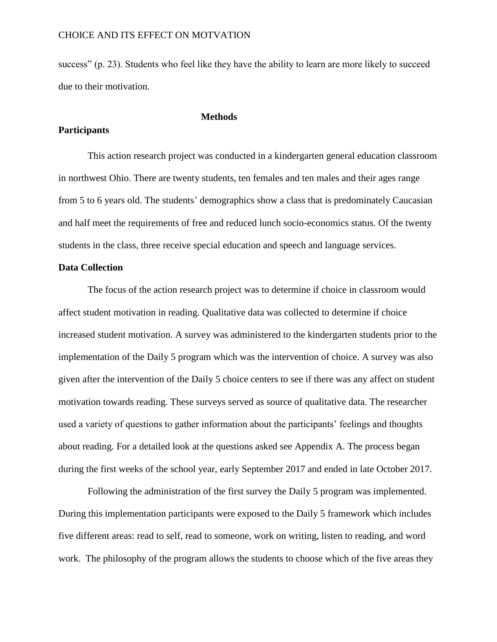success" (p. 23). Students who feel like they have the ability to learn are more likely to succeed due to their motivation.

**Methods**

#### **Participants**

# This action research project was conducted in a kindergarten general education classroom in northwest Ohio. There are twenty students, ten females and ten males and their ages range from 5 to 6 years old. The students' demographics show a class that is predominately Caucasian and half meet the requirements of free and reduced lunch socio-economics status. Of the twenty students in the class, three receive special education and speech and language services.

## **Data Collection**

The focus of the action research project was to determine if choice in classroom would affect student motivation in reading. Qualitative data was collected to determine if choice increased student motivation. A survey was administered to the kindergarten students prior to the implementation of the Daily 5 program which was the intervention of choice. A survey was also given after the intervention of the Daily 5 choice centers to see if there was any affect on student motivation towards reading. These surveys served as source of qualitative data. The researcher used a variety of questions to gather information about the participants' feelings and thoughts about reading. For a detailed look at the questions asked see Appendix A. The process began during the first weeks of the school year, early September 2017 and ended in late October 2017.

Following the administration of the first survey the Daily 5 program was implemented. During this implementation participants were exposed to the Daily 5 framework which includes five different areas: read to self, read to someone, work on writing, listen to reading, and word work. The philosophy of the program allows the students to choose which of the five areas they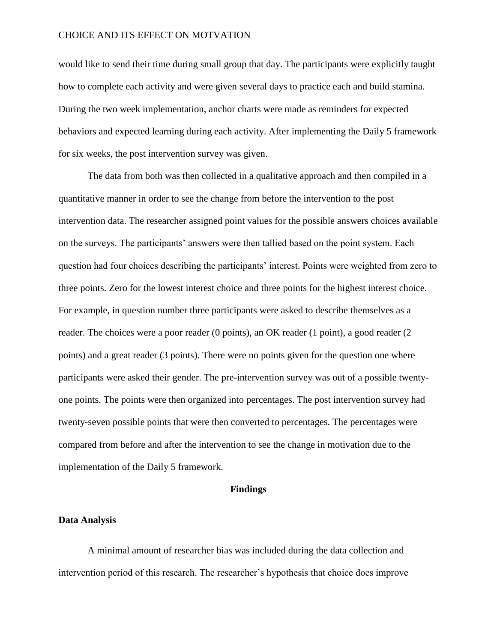would like to send their time during small group that day. The participants were explicitly taught how to complete each activity and were given several days to practice each and build stamina. During the two week implementation, anchor charts were made as reminders for expected behaviors and expected learning during each activity. After implementing the Daily 5 framework for six weeks, the post intervention survey was given.

The data from both was then collected in a qualitative approach and then compiled in a quantitative manner in order to see the change from before the intervention to the post intervention data. The researcher assigned point values for the possible answers choices available on the surveys. The participants' answers were then tallied based on the point system. Each question had four choices describing the participants' interest. Points were weighted from zero to three points. Zero for the lowest interest choice and three points for the highest interest choice. For example, in question number three participants were asked to describe themselves as a reader. The choices were a poor reader (0 points), an OK reader (1 point), a good reader (2 points) and a great reader (3 points). There were no points given for the question one where participants were asked their gender. The pre-intervention survey was out of a possible twentyone points. The points were then organized into percentages. The post intervention survey had twenty-seven possible points that were then converted to percentages. The percentages were compared from before and after the intervention to see the change in motivation due to the implementation of the Daily 5 framework.

#### **Findings**

#### **Data Analysis**

A minimal amount of researcher bias was included during the data collection and intervention period of this research. The researcher's hypothesis that choice does improve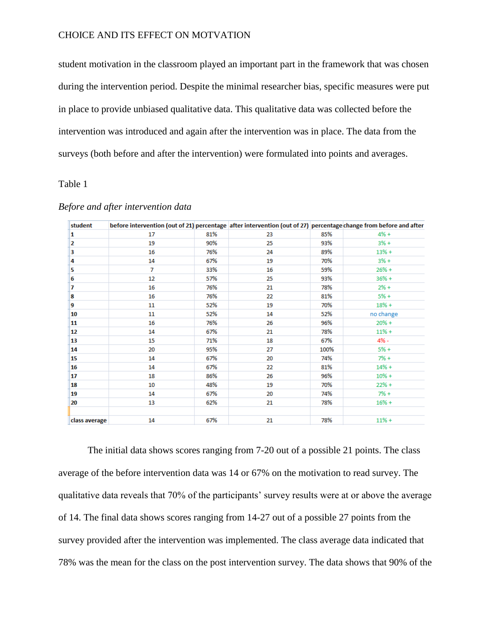student motivation in the classroom played an important part in the framework that was chosen during the intervention period. Despite the minimal researcher bias, specific measures were put in place to provide unbiased qualitative data. This qualitative data was collected before the intervention was introduced and again after the intervention was in place. The data from the surveys (both before and after the intervention) were formulated into points and averages.

## Table 1

| student       | before intervention (out of 21) percentage after intervention (out of 27) percentage change from before and after |     |    |      |           |
|---------------|-------------------------------------------------------------------------------------------------------------------|-----|----|------|-----------|
| 1             | 17                                                                                                                | 81% | 23 | 85%  | $4% +$    |
| 2             | 19                                                                                                                | 90% | 25 | 93%  | $3% +$    |
| 3             | 16                                                                                                                | 76% | 24 | 89%  | $13% +$   |
| 4             | 14                                                                                                                | 67% | 19 | 70%  | $3% +$    |
| 5             | $\overline{7}$                                                                                                    | 33% | 16 | 59%  | $26% +$   |
| 6             | 12                                                                                                                | 57% | 25 | 93%  | $36% +$   |
| 7             | 16                                                                                                                | 76% | 21 | 78%  | $2% +$    |
| 8             | 16                                                                                                                | 76% | 22 | 81%  | $5% +$    |
| 9             | 11                                                                                                                | 52% | 19 | 70%  | $18% +$   |
| 10            | 11                                                                                                                | 52% | 14 | 52%  | no change |
| 11            | 16                                                                                                                | 76% | 26 | 96%  | $20% +$   |
| 12            | 14                                                                                                                | 67% | 21 | 78%  | $11% +$   |
| 13            | 15                                                                                                                | 71% | 18 | 67%  | $4% -$    |
| 14            | 20                                                                                                                | 95% | 27 | 100% | $5% +$    |
| 15            | 14                                                                                                                | 67% | 20 | 74%  | $7% +$    |
| 16            | 14                                                                                                                | 67% | 22 | 81%  | $14% +$   |
| 17            | 18                                                                                                                | 86% | 26 | 96%  | $10% +$   |
| 18            | 10                                                                                                                | 48% | 19 | 70%  | $22% +$   |
| 19            | 14                                                                                                                | 67% | 20 | 74%  | $7% +$    |
| 20            | 13                                                                                                                | 62% | 21 | 78%  | $16% +$   |
|               |                                                                                                                   |     |    |      |           |
| class average | 14                                                                                                                | 67% | 21 | 78%  | $11% +$   |

## *Before and after intervention data*

The initial data shows scores ranging from 7-20 out of a possible 21 points. The class average of the before intervention data was 14 or 67% on the motivation to read survey. The qualitative data reveals that 70% of the participants' survey results were at or above the average of 14. The final data shows scores ranging from 14-27 out of a possible 27 points from the survey provided after the intervention was implemented. The class average data indicated that 78% was the mean for the class on the post intervention survey. The data shows that 90% of the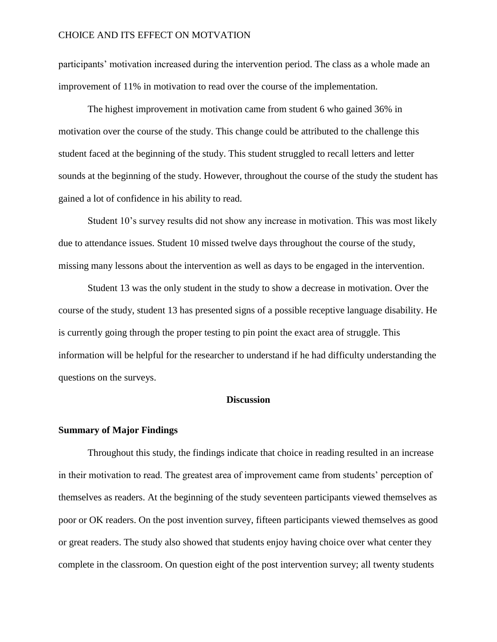participants' motivation increased during the intervention period. The class as a whole made an improvement of 11% in motivation to read over the course of the implementation.

The highest improvement in motivation came from student 6 who gained 36% in motivation over the course of the study. This change could be attributed to the challenge this student faced at the beginning of the study. This student struggled to recall letters and letter sounds at the beginning of the study. However, throughout the course of the study the student has gained a lot of confidence in his ability to read.

Student 10's survey results did not show any increase in motivation. This was most likely due to attendance issues. Student 10 missed twelve days throughout the course of the study, missing many lessons about the intervention as well as days to be engaged in the intervention.

Student 13 was the only student in the study to show a decrease in motivation. Over the course of the study, student 13 has presented signs of a possible receptive language disability. He is currently going through the proper testing to pin point the exact area of struggle. This information will be helpful for the researcher to understand if he had difficulty understanding the questions on the surveys.

## **Discussion**

#### **Summary of Major Findings**

Throughout this study, the findings indicate that choice in reading resulted in an increase in their motivation to read. The greatest area of improvement came from students' perception of themselves as readers. At the beginning of the study seventeen participants viewed themselves as poor or OK readers. On the post invention survey, fifteen participants viewed themselves as good or great readers. The study also showed that students enjoy having choice over what center they complete in the classroom. On question eight of the post intervention survey; all twenty students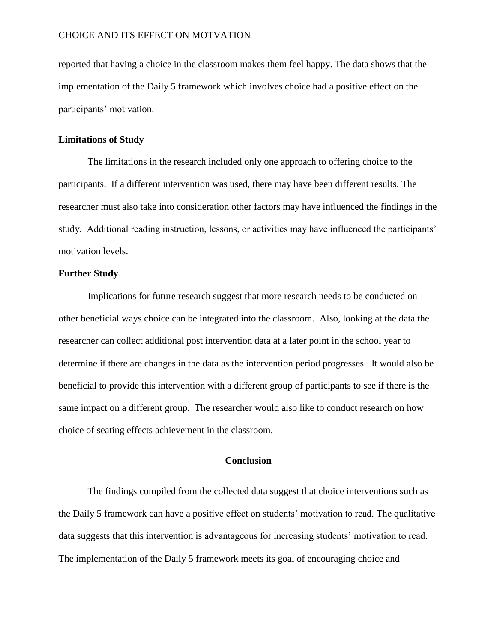reported that having a choice in the classroom makes them feel happy. The data shows that the implementation of the Daily 5 framework which involves choice had a positive effect on the participants' motivation.

#### **Limitations of Study**

The limitations in the research included only one approach to offering choice to the participants. If a different intervention was used, there may have been different results. The researcher must also take into consideration other factors may have influenced the findings in the study. Additional reading instruction, lessons, or activities may have influenced the participants' motivation levels.

### **Further Study**

Implications for future research suggest that more research needs to be conducted on other beneficial ways choice can be integrated into the classroom. Also, looking at the data the researcher can collect additional post intervention data at a later point in the school year to determine if there are changes in the data as the intervention period progresses. It would also be beneficial to provide this intervention with a different group of participants to see if there is the same impact on a different group. The researcher would also like to conduct research on how choice of seating effects achievement in the classroom.

## **Conclusion**

The findings compiled from the collected data suggest that choice interventions such as the Daily 5 framework can have a positive effect on students' motivation to read. The qualitative data suggests that this intervention is advantageous for increasing students' motivation to read. The implementation of the Daily 5 framework meets its goal of encouraging choice and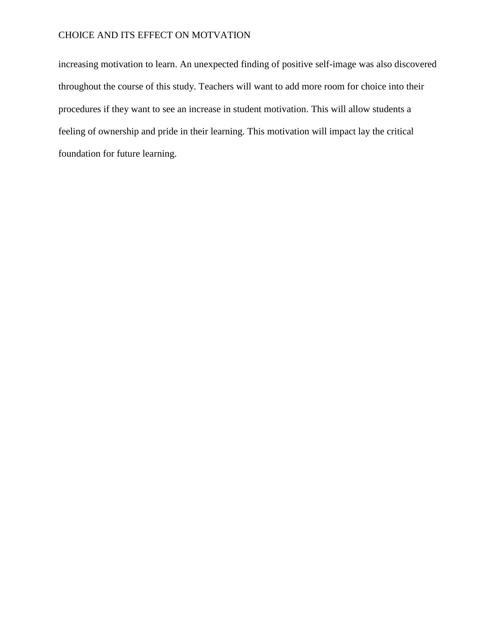increasing motivation to learn. An unexpected finding of positive self-image was also discovered throughout the course of this study. Teachers will want to add more room for choice into their procedures if they want to see an increase in student motivation. This will allow students a feeling of ownership and pride in their learning. This motivation will impact lay the critical foundation for future learning.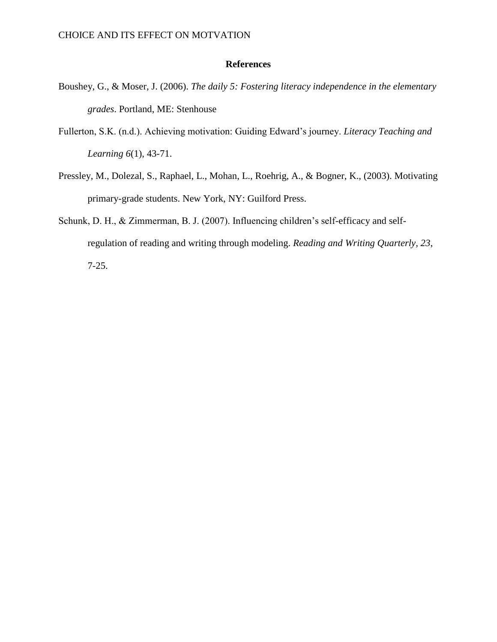## **References**

- Boushey, G., & Moser, J. (2006). *The daily 5: Fostering literacy independence in the elementary grades*. Portland, ME: Stenhouse
- Fullerton, S.K. (n.d.). Achieving motivation: Guiding Edward's journey. *Literacy Teaching and Learning 6*(1), 43-71.
- Pressley, M., Dolezal, S., Raphael, L., Mohan, L., Roehrig, A., & Bogner, K., (2003). Motivating primary-grade students. New York, NY: Guilford Press.
- Schunk, D. H., & Zimmerman, B. J. (2007). Influencing children's self-efficacy and selfregulation of reading and writing through modeling. *Reading and Writing Quarterly, 23*, 7-25.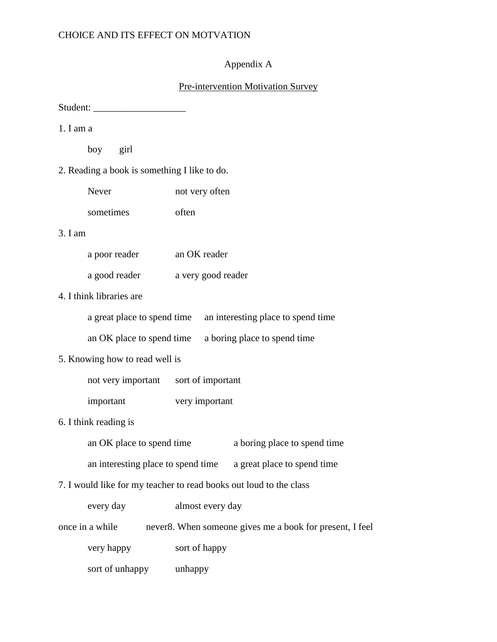# Appendix A

## Pre-intervention Motivation Survey

Student: \_\_\_\_\_\_\_\_\_\_\_\_\_\_\_\_\_\_\_

1. I am a

boy girl

2. Reading a book is something I like to do.

| Never     | not very often |
|-----------|----------------|
| sometimes | often          |

## 3. I am

| a poor reader | an OK reader       |
|---------------|--------------------|
| a good reader | a very good reader |

# 4. I think libraries are

| a great place to spend time an interesting place to spend time |
|----------------------------------------------------------------|
|                                                                |

an OK place to spend time a boring place to spend time

## 5. Knowing how to read well is

| not very important | sort of important |
|--------------------|-------------------|
|--------------------|-------------------|

important very important

# 6. I think reading is

| an OK place to spend time | a boring place to spend time |
|---------------------------|------------------------------|
|---------------------------|------------------------------|

an interesting place to spend time a great place to spend time

## 7. I would like for my teacher to read books out loud to the class

| every day       | almost every day                                         |
|-----------------|----------------------------------------------------------|
| once in a while | never8. When someone gives me a book for present, I feel |
| very happy      | sort of happy                                            |
| sort of unhappy | unhappy                                                  |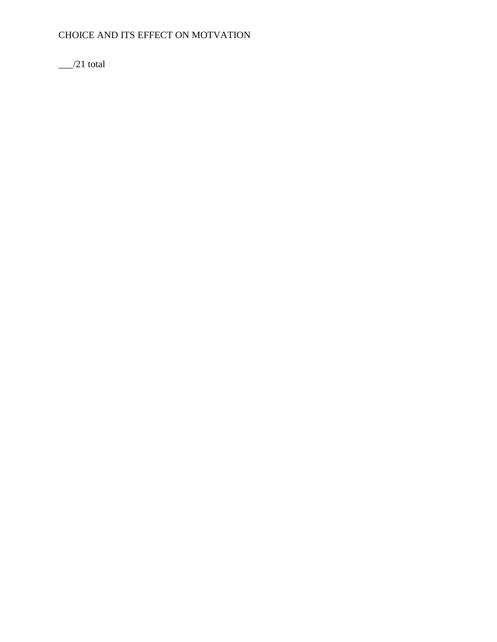$\frac{1}{21}$  total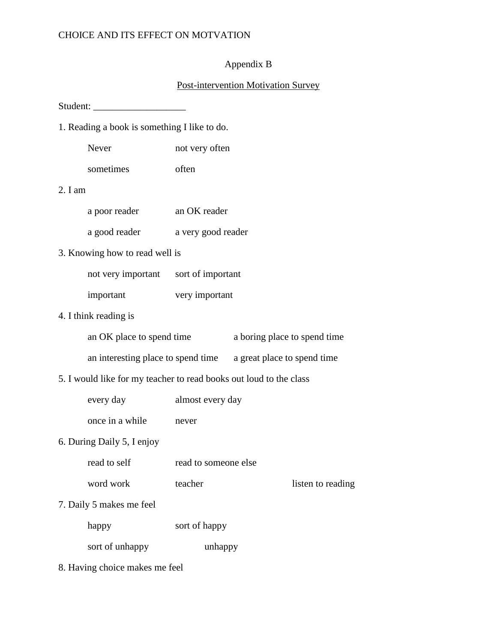## Appendix B

## Post-intervention Motivation Survey

Student: \_\_\_\_\_\_\_\_\_\_\_\_\_\_\_\_\_\_\_

- 1. Reading a book is something I like to do.
	- Never not very often
	- sometimes often

## 2. I am

| a poor reader | an OK reader       |
|---------------|--------------------|
| a good reader | a very good reader |

## 3. Knowing how to read well is

| not very important | sort of important |
|--------------------|-------------------|
| important          | very important    |

# 4. I think reading is

| an OK place to spend time | a boring place to spend time |
|---------------------------|------------------------------|
|---------------------------|------------------------------|

an interesting place to spend time a great place to spend time

# 5. I would like for my teacher to read books out loud to the class

every day almost every day

once in a while never

## 6. During Daily 5, I enjoy

word work teacher listen to reading

7. Daily 5 makes me feel

| sort of happy |
|---------------|
|               |

sort of unhappy unhappy

8. Having choice makes me feel